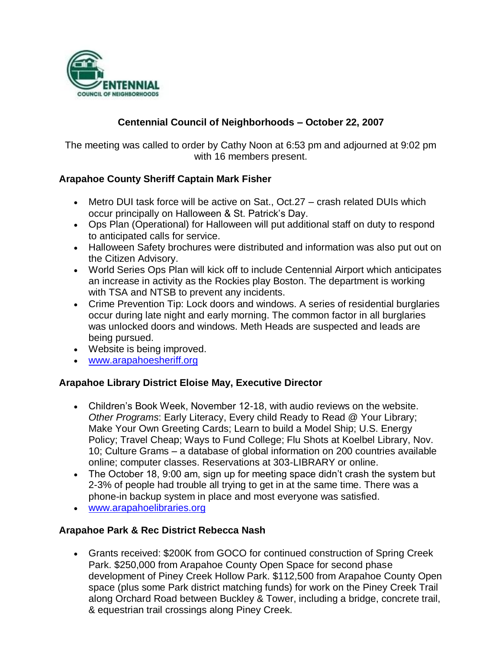

# **Centennial Council of Neighborhoods – October 22, 2007**

The meeting was called to order by Cathy Noon at 6:53 pm and adjourned at 9:02 pm with 16 members present.

### **Arapahoe County Sheriff Captain Mark Fisher**

- Metro DUI task force will be active on Sat., Oct.27 crash related DUIs which occur principally on Halloween & St. Patrick's Day.
- Ops Plan (Operational) for Halloween will put additional staff on duty to respond to anticipated calls for service.
- Halloween Safety brochures were distributed and information was also put out on the Citizen Advisory.
- World Series Ops Plan will kick off to include Centennial Airport which anticipates an increase in activity as the Rockies play Boston. The department is working with TSA and NTSB to prevent any incidents.
- Crime Prevention Tip: Lock doors and windows. A series of residential burglaries occur during late night and early morning. The common factor in all burglaries was unlocked doors and windows. Meth Heads are suspected and leads are being pursued.
- Website is being improved.
- [www.arapahoesheriff.org](http://www.arapahoesheriff.org/)

#### **Arapahoe Library District Eloise May, Executive Director**

- Children's Book Week, November 12-18, with audio reviews on the website. *Other Programs*: Early Literacy, Every child Ready to Read @ Your Library; Make Your Own Greeting Cards; Learn to build a Model Ship; U.S. Energy Policy; Travel Cheap; Ways to Fund College; Flu Shots at Koelbel Library, Nov. 10; Culture Grams – a database of global information on 200 countries available online; computer classes. Reservations at 303-LIBRARY or online.
- The October 18, 9:00 am, sign up for meeting space didn't crash the system but 2-3% of people had trouble all trying to get in at the same time. There was a phone-in backup system in place and most everyone was satisfied.
- [www.arapahoelibraries.org](http://www.arapahoelibraries.org/)

### **Arapahoe Park & Rec District Rebecca Nash**

 Grants received: \$200K from GOCO for continued construction of Spring Creek Park. \$250,000 from Arapahoe County Open Space for second phase development of Piney Creek Hollow Park. \$112,500 from Arapahoe County Open space (plus some Park district matching funds) for work on the Piney Creek Trail along Orchard Road between Buckley & Tower, including a bridge, concrete trail, & equestrian trail crossings along Piney Creek.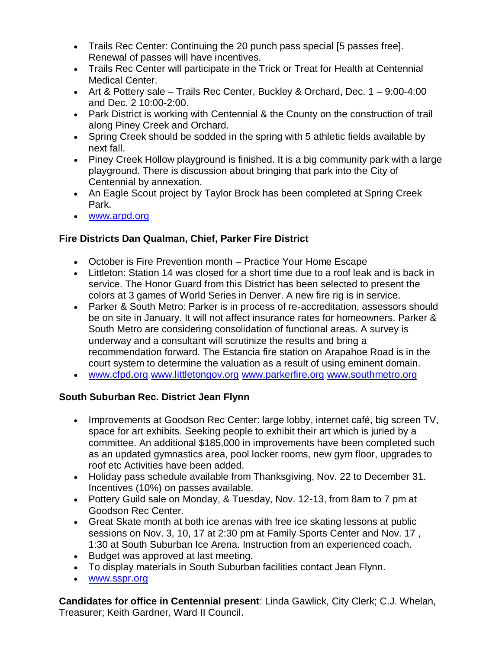- Trails Rec Center: Continuing the 20 punch pass special [5 passes free]. Renewal of passes will have incentives.
- Trails Rec Center will participate in the Trick or Treat for Health at Centennial Medical Center.
- Art & Pottery sale Trails Rec Center, Buckley & Orchard, Dec. 1 9:00-4:00 and Dec. 2 10:00-2:00.
- Park District is working with Centennial & the County on the construction of trail along Piney Creek and Orchard.
- Spring Creek should be sodded in the spring with 5 athletic fields available by next fall.
- Piney Creek Hollow playground is finished. It is a big community park with a large playground. There is discussion about bringing that park into the City of Centennial by annexation.
- An Eagle Scout project by Taylor Brock has been completed at Spring Creek Park.
- [www.arpd.org](http://www.arpd.org/)

# **Fire Districts Dan Qualman, Chief, Parker Fire District**

- October is Fire Prevention month Practice Your Home Escape
- Littleton: Station 14 was closed for a short time due to a roof leak and is back in service. The Honor Guard from this District has been selected to present the colors at 3 games of World Series in Denver. A new fire rig is in service.
- Parker & South Metro: Parker is in process of re-accreditation, assessors should be on site in January. It will not affect insurance rates for homeowners. Parker & South Metro are considering consolidation of functional areas. A survey is underway and a consultant will scrutinize the results and bring a recommendation forward. The Estancia fire station on Arapahoe Road is in the court system to determine the valuation as a result of using eminent domain.
- [www.cfpd.org](http://www.cfpd.org/) [www.littletongov.org](http://www.littletongov.org/) [www.parkerfire.org](http://www.parkerfire.org/) [www.southmetro.org](http://www.southmetro.org/)

### **South Suburban Rec. District Jean Flynn**

- Improvements at Goodson Rec Center: large lobby, internet café, big screen TV, space for art exhibits. Seeking people to exhibit their art which is juried by a committee. An additional \$185,000 in improvements have been completed such as an updated gymnastics area, pool locker rooms, new gym floor, upgrades to roof etc Activities have been added.
- Holiday pass schedule available from Thanksgiving, Nov. 22 to December 31. Incentives (10%) on passes available.
- Pottery Guild sale on Monday, & Tuesday, Nov. 12-13, from 8am to 7 pm at Goodson Rec Center.
- Great Skate month at both ice arenas with free ice skating lessons at public sessions on Nov. 3, 10, 17 at 2:30 pm at Family Sports Center and Nov. 17 , 1:30 at South Suburban Ice Arena. Instruction from an experienced coach.
- Budget was approved at last meeting.
- To display materials in South Suburban facilities contact Jean Flynn.
- [www.sspr.org](http://www.sspr.org/)

**Candidates for office in Centennial present**: Linda Gawlick, City Clerk; C.J. Whelan, Treasurer; Keith Gardner, Ward II Council.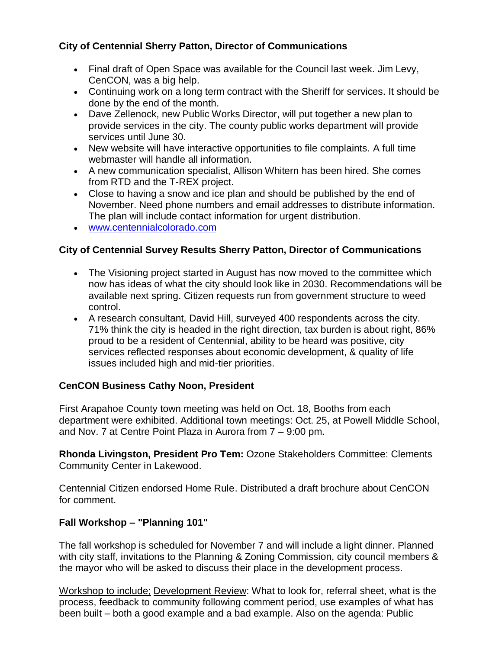# **City of Centennial Sherry Patton, Director of Communications**

- Final draft of Open Space was available for the Council last week. Jim Levy, CenCON, was a big help.
- Continuing work on a long term contract with the Sheriff for services. It should be done by the end of the month.
- Dave Zellenock, new Public Works Director, will put together a new plan to provide services in the city. The county public works department will provide services until June 30.
- New website will have interactive opportunities to file complaints. A full time webmaster will handle all information.
- A new communication specialist, Allison Whitern has been hired. She comes from RTD and the T-REX project.
- Close to having a snow and ice plan and should be published by the end of November. Need phone numbers and email addresses to distribute information. The plan will include contact information for urgent distribution.
- [www.centennialcolorado.com](http://www.centennialcolorado.com/)

### **City of Centennial Survey Results Sherry Patton, Director of Communications**

- The Visioning project started in August has now moved to the committee which now has ideas of what the city should look like in 2030. Recommendations will be available next spring. Citizen requests run from government structure to weed control.
- A research consultant, David Hill, surveyed 400 respondents across the city. 71% think the city is headed in the right direction, tax burden is about right, 86% proud to be a resident of Centennial, ability to be heard was positive, city services reflected responses about economic development, & quality of life issues included high and mid-tier priorities.

### **CenCON Business Cathy Noon, President**

First Arapahoe County town meeting was held on Oct. 18, Booths from each department were exhibited. Additional town meetings: Oct. 25, at Powell Middle School, and Nov. 7 at Centre Point Plaza in Aurora from 7 – 9:00 pm.

**Rhonda Livingston, President Pro Tem:** Ozone Stakeholders Committee: Clements Community Center in Lakewood.

Centennial Citizen endorsed Home Rule. Distributed a draft brochure about CenCON for comment.

# **Fall Workshop – "Planning 101"**

The fall workshop is scheduled for November 7 and will include a light dinner. Planned with city staff, invitations to the Planning & Zoning Commission, city council members & the mayor who will be asked to discuss their place in the development process.

Workshop to include; Development Review: What to look for, referral sheet, what is the process, feedback to community following comment period, use examples of what has been built – both a good example and a bad example. Also on the agenda: Public